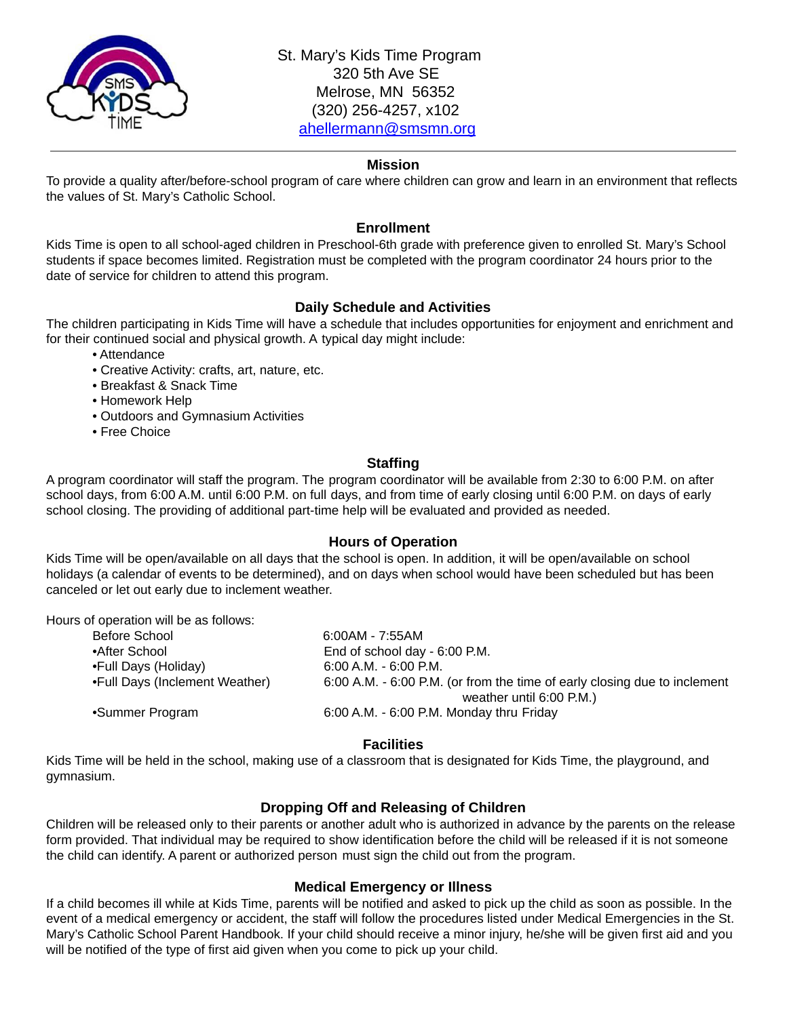

St. Mary's Kids Time Program 320 5th Ave SE Melrose, MN 56352 (320) 256-4257, x102 [ahellermann@smsmn.org](mailto:ahellermann@smsmn.org)

## **Mission**

To provide a quality after/before-school program of care where children can grow and learn in an environment that reflects the values of St. Mary's Catholic School.

#### **Enrollment**

Kids Time is open to all school-aged children in Preschool-6th grade with preference given to enrolled St. Mary's School students if space becomes limited. Registration must be completed with the program coordinator 24 hours prior to the date of service for children to attend this program.

# **Daily Schedule and Activities**

The children participating in Kids Time will have a schedule that includes opportunities for enjoyment and enrichment and for their continued social and physical growth. A typical day might include:

- Attendance
- Creative Activity: crafts, art, nature, etc.
- Breakfast & Snack Time
- Homework Help
- Outdoors and Gymnasium Activities
- Free Choice

## **Staffing**

A program coordinator will staff the program. The program coordinator will be available from 2:30 to 6:00 P.M. on after school days, from 6:00 A.M. until 6:00 P.M. on full days, and from time of early closing until 6:00 P.M. on days of early school closing. The providing of additional part-time help will be evaluated and provided as needed.

#### **Hours of Operation**

Kids Time will be open/available on all days that the school is open. In addition, it will be open/available on school holidays (a calendar of events to be determined), and on days when school would have been scheduled but has been canceled or let out early due to inclement weather.

Hours of operation will be as follows:

| Before School                  | $6:00AM - 7:55AM$                                                         |  |  |  |
|--------------------------------|---------------------------------------------------------------------------|--|--|--|
| •After School                  | End of school day - 6:00 P.M.                                             |  |  |  |
| •Full Days (Holiday)           | $6:00$ A.M. - $6:00$ P.M.                                                 |  |  |  |
| •Full Days (Inclement Weather) | 6:00 A.M. - 6:00 P.M. (or from the time of early closing due to inclement |  |  |  |
|                                | weather until 6:00 P.M.)                                                  |  |  |  |
| •Summer Program                | 6:00 A.M. - 6:00 P.M. Monday thru Friday                                  |  |  |  |
|                                |                                                                           |  |  |  |

# **Facilities**

Kids Time will be held in the school, making use of a classroom that is designated for Kids Time, the playground, and gymnasium.

# **Dropping Off and Releasing of Children**

Children will be released only to their parents or another adult who is authorized in advance by the parents on the release form provided. That individual may be required to show identification before the child will be released if it is not someone the child can identify. A parent or authorized person must sign the child out from the program.

# **Medical Emergency or Illness**

If a child becomes ill while at Kids Time, parents will be notified and asked to pick up the child as soon as possible. In the event of a medical emergency or accident, the staff will follow the procedures listed under Medical Emergencies in the St. Mary's Catholic School Parent Handbook. If your child should receive a minor injury, he/she will be given first aid and you will be notified of the type of first aid given when you come to pick up your child.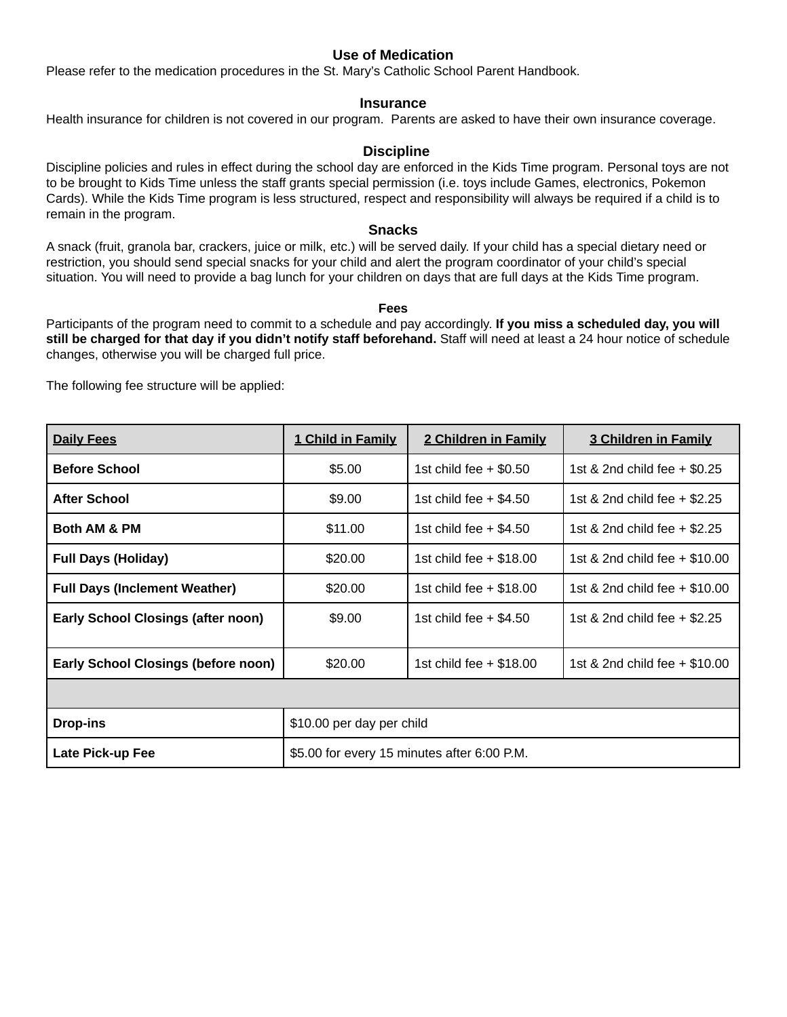# **Use of Medication**

Please refer to the medication procedures in the St. Mary's Catholic School Parent Handbook.

## **Insurance**

Health insurance for children is not covered in our program. Parents are asked to have their own insurance coverage.

## **Discipline**

Discipline policies and rules in effect during the school day are enforced in the Kids Time program. Personal toys are not to be brought to Kids Time unless the staff grants special permission (i.e. toys include Games, electronics, Pokemon Cards). While the Kids Time program is less structured, respect and responsibility will always be required if a child is to remain in the program.

#### **Snacks**

A snack (fruit, granola bar, crackers, juice or milk, etc.) will be served daily. If your child has a special dietary need or restriction, you should send special snacks for your child and alert the program coordinator of your child's special situation. You will need to provide a bag lunch for your children on days that are full days at the Kids Time program.

#### **Fees**

Participants of the program need to commit to a schedule and pay accordingly. **If you miss a scheduled day, you will still be charged for that day if you didn't notify staff beforehand.** Staff will need at least a 24 hour notice of schedule changes, otherwise you will be charged full price.

The following fee structure will be applied:

| <b>Daily Fees</b>                          | 1 Child in Family                           | 2 Children in Family      | 3 Children in Family            |  |  |
|--------------------------------------------|---------------------------------------------|---------------------------|---------------------------------|--|--|
| <b>Before School</b>                       | \$5.00                                      | 1st child fee $+$ \$0.50  | 1st & 2nd child fee $+$ \$0.25  |  |  |
| <b>After School</b>                        | \$9.00                                      | 1st child fee $+$ \$4.50  | 1st & 2nd child fee $+$ \$2.25  |  |  |
| <b>Both AM &amp; PM</b>                    | \$11.00                                     | 1st child fee $+$ \$4.50  | 1st & 2nd child fee $+$ \$2.25  |  |  |
| <b>Full Days (Holiday)</b>                 | \$20.00                                     | 1st child fee $+$ \$18.00 | 1st & 2nd child fee + \$10.00   |  |  |
| <b>Full Days (Inclement Weather)</b>       | \$20.00                                     | 1st child fee $+$ \$18.00 | 1st & 2nd child fee + \$10.00   |  |  |
| <b>Early School Closings (after noon)</b>  | \$9.00                                      | 1st child fee $+$ \$4.50  | 1st & 2nd child fee + \$2.25    |  |  |
| <b>Early School Closings (before noon)</b> | \$20,00                                     | 1st child fee $+$ \$18.00 | 1st & 2nd child fee $+$ \$10.00 |  |  |
|                                            |                                             |                           |                                 |  |  |
| <b>Drop-ins</b>                            | \$10.00 per day per child                   |                           |                                 |  |  |
| Late Pick-up Fee                           | \$5.00 for every 15 minutes after 6:00 P.M. |                           |                                 |  |  |